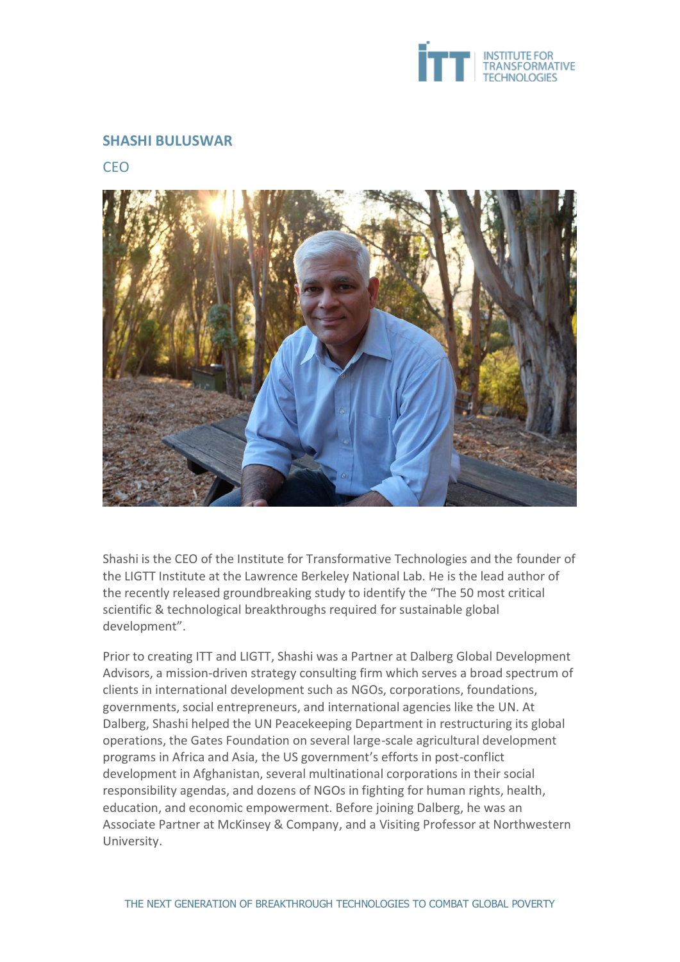

## **SHASHI BULUSWAR**

CEO



Shashi is the CEO of the Institute for Transformative Technologies and the founder of the LIGTT Institute at the Lawrence Berkeley National Lab. He is the lead author of the recently released groundbreaking study to identify the "The 50 most critical scientific & technological breakthroughs required for sustainable global development".

Prior to creating ITT and LIGTT, Shashi was a Partner at Dalberg Global Development Advisors, a mission-driven strategy consulting firm which serves a broad spectrum of clients in international development such as NGOs, corporations, foundations, governments, social entrepreneurs, and international agencies like the UN. At Dalberg, Shashi helped the UN Peacekeeping Department in restructuring its global operations, the Gates Foundation on several large-scale agricultural development programs in Africa and Asia, the US government's efforts in post-conflict development in Afghanistan, several multinational corporations in their social responsibility agendas, and dozens of NGOs in fighting for human rights, health, education, and economic empowerment. Before joining Dalberg, he was an Associate Partner at McKinsey & Company, and a Visiting Professor at Northwestern University.